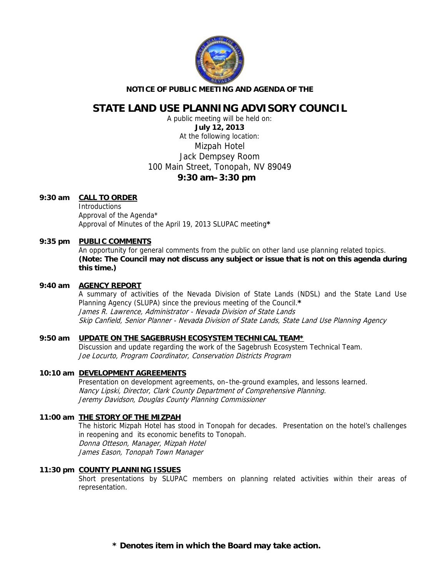

#### **NOTICE OF PUBLIC MEETING AND AGENDA OF THE**

# **STATE LAND USE PLANNING ADVISORY COUNCIL**

A public meeting will be held on: **July 12, 2013**  At the following location: Mizpah Hotel Jack Dempsey Room 100 Main Street, Tonopah, NV 89049 **9:30 am–3:30 pm** 

#### **9:30 am CALL TO ORDER**

**Introductions**  Approval of the Agenda\* Approval of Minutes of the April 19, 2013 SLUPAC meeting**\***

#### 9:35 pm PUBLIC COMMENTS

An opportunity for general comments from the public on other land use planning related topics. **(Note: The Council may not discuss any subject or issue that is not on this agenda during this time.)** 

#### **9:40 am AGENCY REPORT**

A summary of activities of the Nevada Division of State Lands (NDSL) and the State Land Use Planning Agency (SLUPA) since the previous meeting of the Council.**\*** James R. Lawrence, Administrator - Nevada Division of State Lands Skip Canfield, Senior Planner - Nevada Division of State Lands, State Land Use Planning Agency

## **9:50 am UPDATE ON THE SAGEBRUSH ECOSYSTEM TECHNICAL TEAM\***

Discussion and update regarding the work of the Sagebrush Ecosystem Technical Team. Joe Locurto, Program Coordinator, Conservation Districts Program

## **10:10 am DEVELOPMENT AGREEMENTS**

Presentation on development agreements, on–the-ground examples, and lessons learned. Nancy Lipski, Director, Clark County Department of Comprehensive Planning. Jeremy Davidson, Douglas County Planning Commissioner

## **11:00 am THE STORY OF THE MIZPAH**

The historic Mizpah Hotel has stood in Tonopah for decades. Presentation on the hotel's challenges in reopening and its economic benefits to Tonopah. Donna Otteson, Manager, Mizpah Hotel James Eason, Tonopah Town Manager

## **11:30 pm COUNTY PLANNING ISSUES**

Short presentations by SLUPAC members on planning related activities within their areas of representation.

**\* Denotes item in which the Board may take action.**